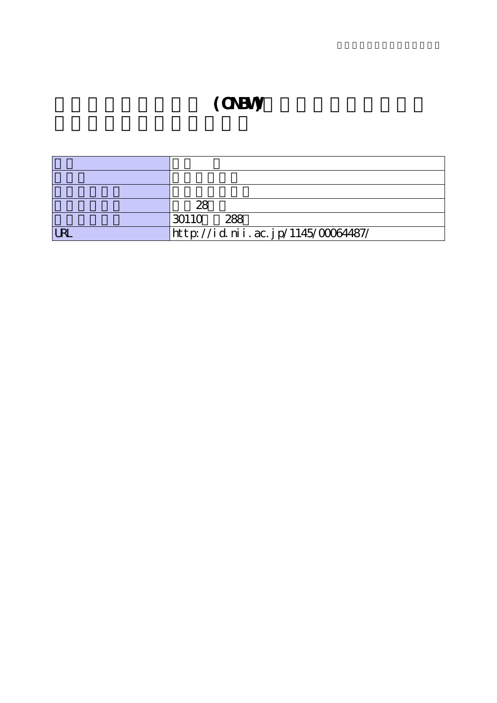# **(ONBW)**

|                | 28                                 |
|----------------|------------------------------------|
|                | 288<br>30110                       |
| I <sub>R</sub> | http://id.nii.ac.jp/1145/00064487/ |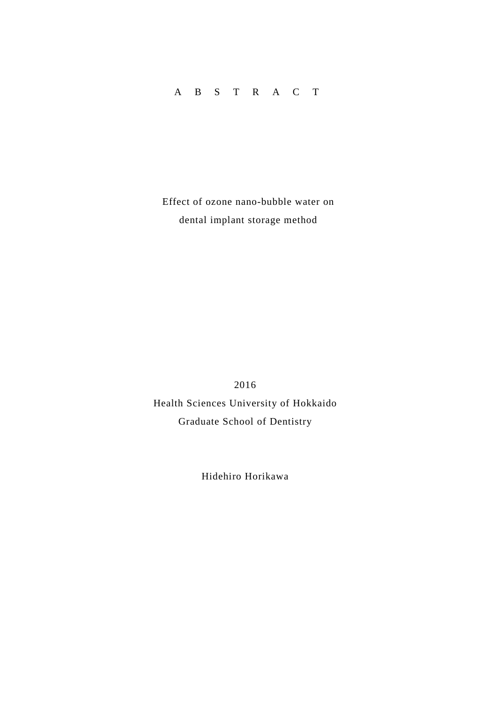# ABSTRAC T

Effect of ozone nano-bubble water on dental implant storage method

2016 Health Sciences University of Hokkaido Graduate School of Dentistry

Hidehiro Horikawa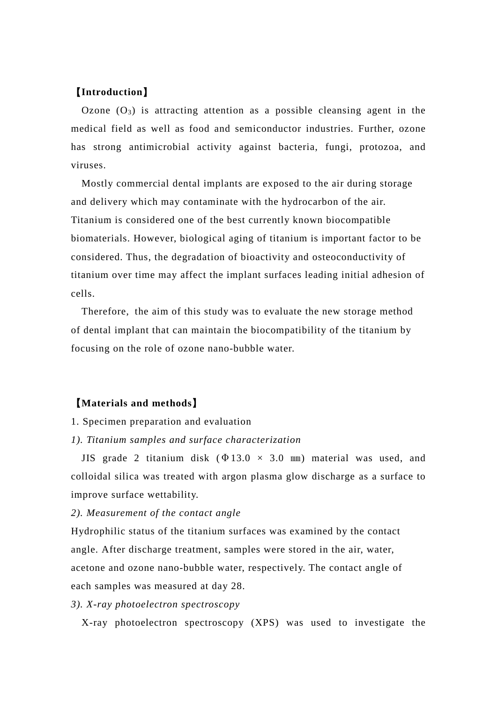# 【**Introduction**】

Ozone  $(O_3)$  is attracting attention as a possible cleansing agent in the medical field as well as food and semiconductor industries. Further, ozone has strong antimicrobial activity against bacteria, fungi, protozoa, and viruses.

Mostly commercial dental implants are exposed to the air during storage and delivery which may contaminate with the hydrocarbon of the air. Titanium is considered one of the best currently known biocompatible biomaterials. However, biological aging of titanium is important factor to be considered. Thus, the degradation of bioactivity and osteoconductivity of titanium over time may affect the implant surfaces leading initial adhesion of cells.

Therefore, the aim of this study was to evaluate the new storage method of dental implant that can maintain the biocompatibility of the titanium by focusing on the role of ozone nano-bubble water.

# 【**Materials and methods**】

#### 1. Specimen preparation and evaluation

#### *1). Titanium samples and surface characterization*

JIS grade 2 titanium disk  $(\Phi 13.0 \times 3.0 \text{ mm})$  material was used, and colloidal silica was treated with argon plasma glow discharge as a surface to improve surface wettability.

#### *2). Measurement of the contact angle*

Hydrophilic status of the titanium surfaces was examined by the contact angle. After discharge treatment, samples were stored in the air, water, acetone and ozone nano-bubble water, respectively. The contact angle of each samples was measured at day 28.

#### *3). X-ray photoelectron spectroscopy*

X-ray photoelectron spectroscopy (XPS) was used to investigate the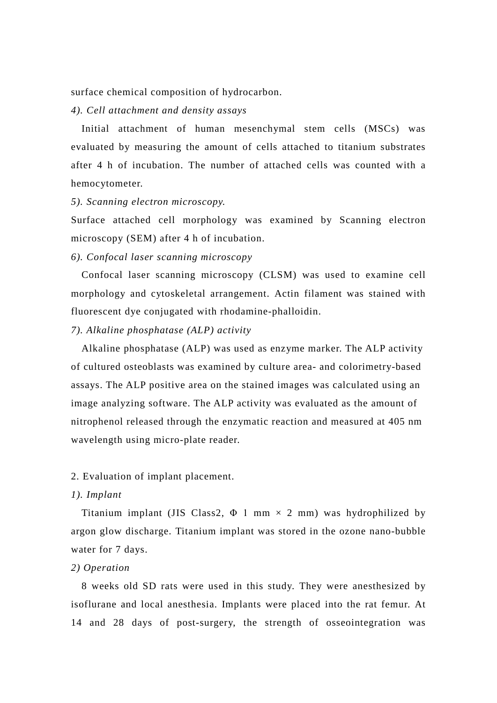surface chemical composition of hydrocarbon.

#### *4). Cell attachment and density assays*

Initial attachment of human mesenchymal stem cells (MSCs) was evaluated by measuring the amount of cells attached to titanium substrates after 4 h of incubation. The number of attached cells was counted with a hemocytometer.

#### *5). Scanning electron microscopy.*

Surface attached cell morphology was examined by Scanning electron microscopy (SEM) after 4 h of incubation.

### *6). Confocal laser scanning microscopy*

Confocal laser scanning microscopy (CLSM) was used to examine cell morphology and cytoskeletal arrangement. Actin filament was stained with fluorescent dye conjugated with rhodamine-phalloidin.

#### *7). Alkaline phosphatase (ALP) activity*

Alkaline phosphatase (ALP) was used as enzyme marker. The ALP activity of cultured osteoblasts was examined by culture area- and colorimetry-based assays. The ALP positive area on the stained images was calculated using an image analyzing software. The ALP activity was evaluated as the amount of nitrophenol released through the enzymatic reaction and measured at 405 nm wavelength using micro-plate reader.

#### 2. Evaluation of implant placement.

#### *1). Implant*

Titanium implant (JIS Class2,  $\Phi$  1 mm  $\times$  2 mm) was hydrophilized by argon glow discharge. Titanium implant was stored in the ozone nano-bubble water for 7 days.

# *2) Operation*

8 weeks old SD rats were used in this study. They were anesthesized by isoflurane and local anesthesia. Implants were placed into the rat femur. At 14 and 28 days of post-surgery, the strength of osseointegration was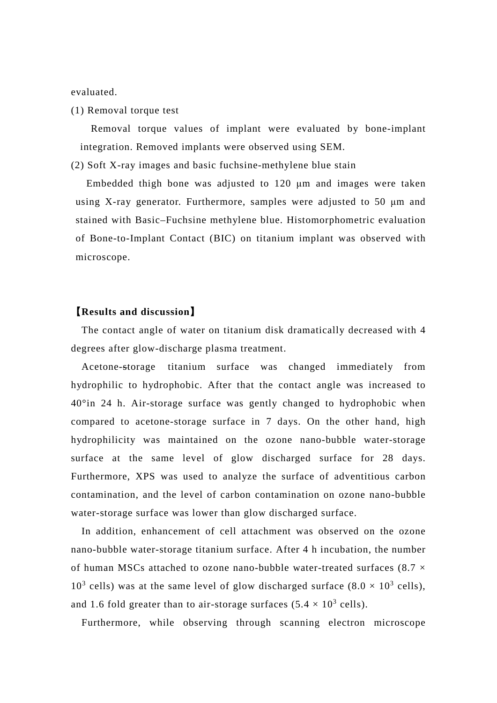evaluated.

(1) Removal torque test

Removal torque values of implant were evaluated by bone-implant integration. Removed implants were observed using SEM.

(2) Soft X-ray images and basic fuchsine-methylene blue stain

Embedded thigh bone was adjusted to 120 μm and images were taken using X-ray generator. Furthermore, samples were adjusted to 50 μm and stained with Basic–Fuchsine methylene blue. Histomorphometric evaluation of Bone-to-Implant Contact (BIC) on titanium implant was observed with microscope.

# 【**Results and discussion**】

The contact angle of water on titanium disk dramatically decreased with 4 degrees after glow-discharge plasma treatment.

Acetone-storage titanium surface was changed immediately from hydrophilic to hydrophobic. After that the contact angle was increased to 40°in 24 h. Air-storage surface was gently changed to hydrophobic when compared to acetone-storage surface in 7 days. On the other hand, high hydrophilicity was maintained on the ozone nano-bubble water-storage surface at the same level of glow discharged surface for 28 days. Furthermore, XPS was used to analyze the surface of adventitious carbon contamination, and the level of carbon contamination on ozone nano-bubble water-storage surface was lower than glow discharged surface.

In addition, enhancement of cell attachment was observed on the ozone nano-bubble water-storage titanium surface. After 4 h incubation, the number of human MSCs attached to ozone nano-bubble water-treated surfaces  $(8.7 \times$  $10^3$  cells) was at the same level of glow discharged surface  $(8.0 \times 10^3 \text{ cells})$ . and 1.6 fold greater than to air-storage surfaces  $(5.4 \times 10^3 \text{ cells})$ .

Furthermore, while observing through scanning electron microscope